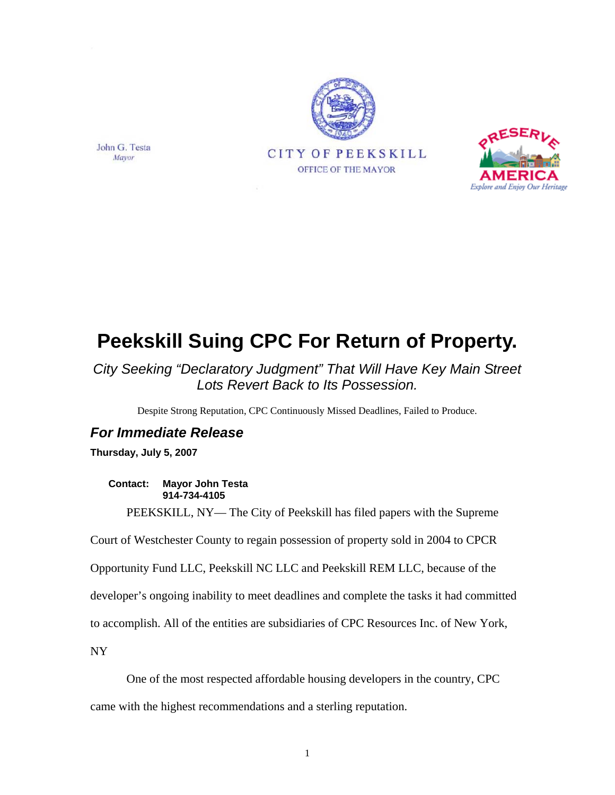



## **Peekskill Suing CPC For Return of Property.**

*City Seeking "Declaratory Judgment" That Will Have Key Main Street Lots Revert Back to Its Possession.* 

Despite Strong Reputation, CPC Continuously Missed Deadlines, Failed to Produce.

## *For Immediate Release*

**Thursday, July 5, 2007** 

**Contact: Mayor John Testa 914-734-4105** 

PEEKSKILL, NY— The City of Peekskill has filed papers with the Supreme

Court of Westchester County to regain possession of property sold in 2004 to CPCR

Opportunity Fund LLC, Peekskill NC LLC and Peekskill REM LLC, because of the

developer's ongoing inability to meet deadlines and complete the tasks it had committed

to accomplish. All of the entities are subsidiaries of CPC Resources Inc. of New York,

NY

One of the most respected affordable housing developers in the country, CPC

came with the highest recommendations and a sterling reputation.

John G. Testa Mayor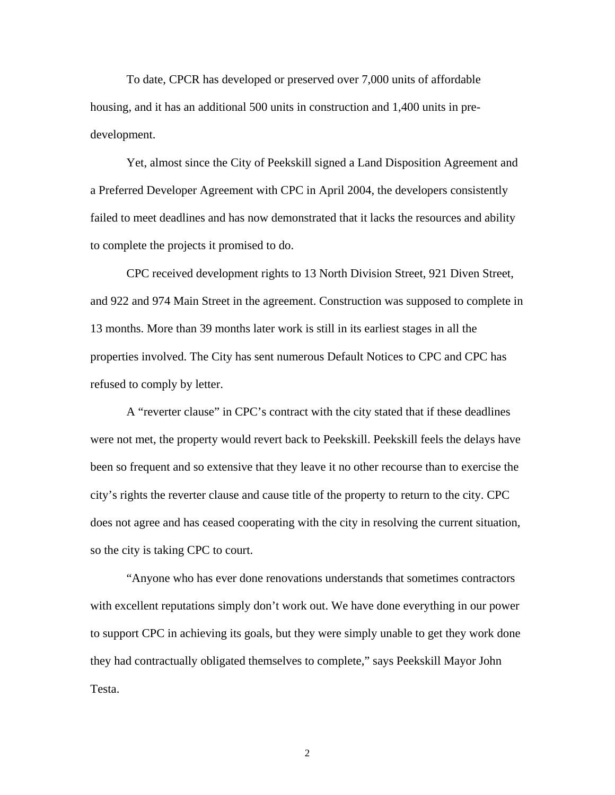To date, CPCR has developed or preserved over 7,000 units of affordable housing, and it has an additional 500 units in construction and 1,400 units in predevelopment.

Yet, almost since the City of Peekskill signed a Land Disposition Agreement and a Preferred Developer Agreement with CPC in April 2004, the developers consistently failed to meet deadlines and has now demonstrated that it lacks the resources and ability to complete the projects it promised to do.

CPC received development rights to 13 North Division Street, 921 Diven Street, and 922 and 974 Main Street in the agreement. Construction was supposed to complete in 13 months. More than 39 months later work is still in its earliest stages in all the properties involved. The City has sent numerous Default Notices to CPC and CPC has refused to comply by letter.

A "reverter clause" in CPC's contract with the city stated that if these deadlines were not met, the property would revert back to Peekskill. Peekskill feels the delays have been so frequent and so extensive that they leave it no other recourse than to exercise the city's rights the reverter clause and cause title of the property to return to the city. CPC does not agree and has ceased cooperating with the city in resolving the current situation, so the city is taking CPC to court.

"Anyone who has ever done renovations understands that sometimes contractors with excellent reputations simply don't work out. We have done everything in our power to support CPC in achieving its goals, but they were simply unable to get they work done they had contractually obligated themselves to complete," says Peekskill Mayor John Testa.

2